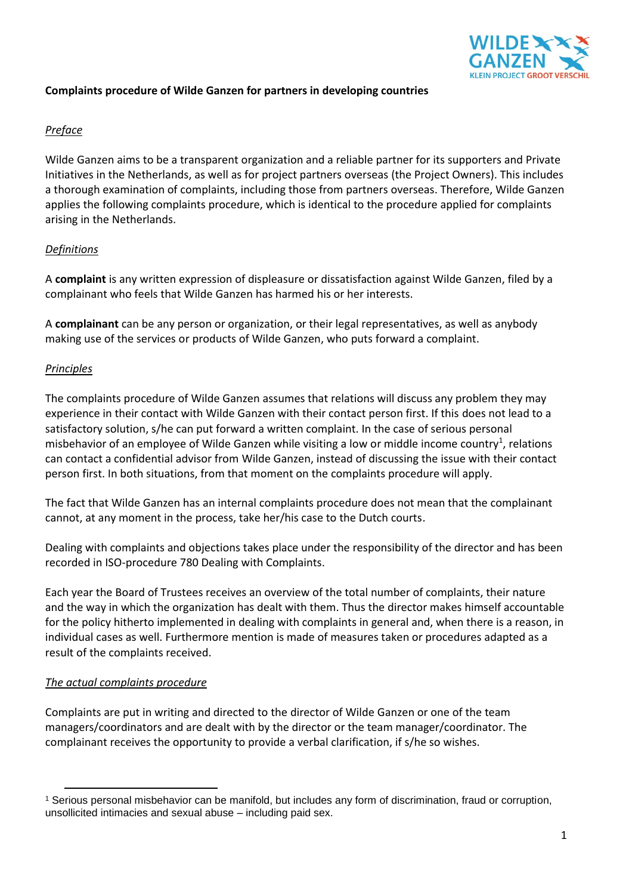

### **Complaints procedure of Wilde Ganzen for partners in developing countries**

## *Preface*

Wilde Ganzen aims to be a transparent organization and a reliable partner for its supporters and Private Initiatives in the Netherlands, as well as for project partners overseas (the Project Owners). This includes a thorough examination of complaints, including those from partners overseas. Therefore, Wilde Ganzen applies the following complaints procedure, which is identical to the procedure applied for complaints arising in the Netherlands.

# *Definitions*

A **complaint** is any written expression of displeasure or dissatisfaction against Wilde Ganzen, filed by a complainant who feels that Wilde Ganzen has harmed his or her interests.

A **complainant** can be any person or organization, or their legal representatives, as well as anybody making use of the services or products of Wilde Ganzen, who puts forward a complaint.

### *Principles*

The complaints procedure of Wilde Ganzen assumes that relations will discuss any problem they may experience in their contact with Wilde Ganzen with their contact person first. If this does not lead to a satisfactory solution, s/he can put forward a written complaint. In the case of serious personal misbehavior of an employee of Wilde Ganzen while visiting a low or middle income country<sup>1</sup>, relations can contact a confidential advisor from Wilde Ganzen, instead of discussing the issue with their contact person first. In both situations, from that moment on the complaints procedure will apply.

The fact that Wilde Ganzen has an internal complaints procedure does not mean that the complainant cannot, at any moment in the process, take her/his case to the Dutch courts.

Dealing with complaints and objections takes place under the responsibility of the director and has been recorded in ISO-procedure 780 Dealing with Complaints.

Each year the Board of Trustees receives an overview of the total number of complaints, their nature and the way in which the organization has dealt with them. Thus the director makes himself accountable for the policy hitherto implemented in dealing with complaints in general and, when there is a reason, in individual cases as well. Furthermore mention is made of measures taken or procedures adapted as a result of the complaints received.

### *The actual complaints procedure*

Complaints are put in writing and directed to the director of Wilde Ganzen or one of the team managers/coordinators and are dealt with by the director or the team manager/coordinator. The complainant receives the opportunity to provide a verbal clarification, if s/he so wishes.

 $\overline{a}$ <sup>1</sup> Serious personal misbehavior can be manifold, but includes any form of discrimination, fraud or corruption, unsollicited intimacies and sexual abuse – including paid sex.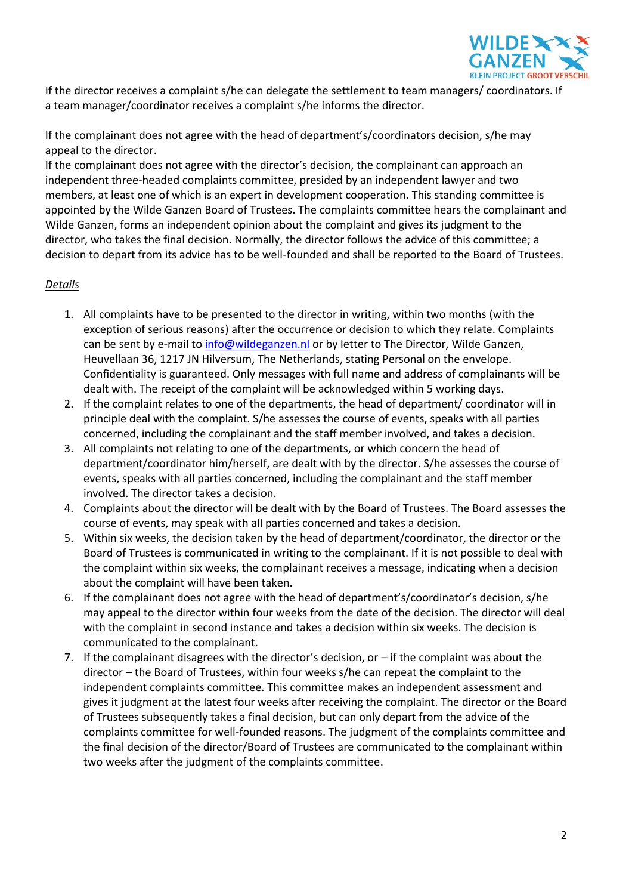

If the director receives a complaint s/he can delegate the settlement to team managers/ coordinators. If a team manager/coordinator receives a complaint s/he informs the director.

If the complainant does not agree with the head of department's/coordinators decision, s/he may appeal to the director.

If the complainant does not agree with the director's decision, the complainant can approach an independent three-headed complaints committee, presided by an independent lawyer and two members, at least one of which is an expert in development cooperation. This standing committee is appointed by the Wilde Ganzen Board of Trustees. The complaints committee hears the complainant and Wilde Ganzen, forms an independent opinion about the complaint and gives its judgment to the director, who takes the final decision. Normally, the director follows the advice of this committee; a decision to depart from its advice has to be well-founded and shall be reported to the Board of Trustees.

### *Details*

- 1. All complaints have to be presented to the director in writing, within two months (with the exception of serious reasons) after the occurrence or decision to which they relate. Complaints can be sent by e-mail to [info@wildeganzen.nl](mailto:info@wildeganzen.nl) or by letter to The Director, Wilde Ganzen, Heuvellaan 36, 1217 JN Hilversum, The Netherlands, stating Personal on the envelope. Confidentiality is guaranteed. Only messages with full name and address of complainants will be dealt with. The receipt of the complaint will be acknowledged within 5 working days.
- 2. If the complaint relates to one of the departments, the head of department/ coordinator will in principle deal with the complaint. S/he assesses the course of events, speaks with all parties concerned, including the complainant and the staff member involved, and takes a decision.
- 3. All complaints not relating to one of the departments, or which concern the head of department/coordinator him/herself, are dealt with by the director. S/he assesses the course of events, speaks with all parties concerned, including the complainant and the staff member involved. The director takes a decision.
- 4. Complaints about the director will be dealt with by the Board of Trustees. The Board assesses the course of events, may speak with all parties concerned and takes a decision.
- 5. Within six weeks, the decision taken by the head of department/coordinator, the director or the Board of Trustees is communicated in writing to the complainant. If it is not possible to deal with the complaint within six weeks, the complainant receives a message, indicating when a decision about the complaint will have been taken.
- 6. If the complainant does not agree with the head of department's/coordinator's decision, s/he may appeal to the director within four weeks from the date of the decision. The director will deal with the complaint in second instance and takes a decision within six weeks. The decision is communicated to the complainant.
- 7. If the complainant disagrees with the director's decision, or if the complaint was about the director – the Board of Trustees, within four weeks s/he can repeat the complaint to the independent complaints committee. This committee makes an independent assessment and gives it judgment at the latest four weeks after receiving the complaint. The director or the Board of Trustees subsequently takes a final decision, but can only depart from the advice of the complaints committee for well-founded reasons. The judgment of the complaints committee and the final decision of the director/Board of Trustees are communicated to the complainant within two weeks after the judgment of the complaints committee.